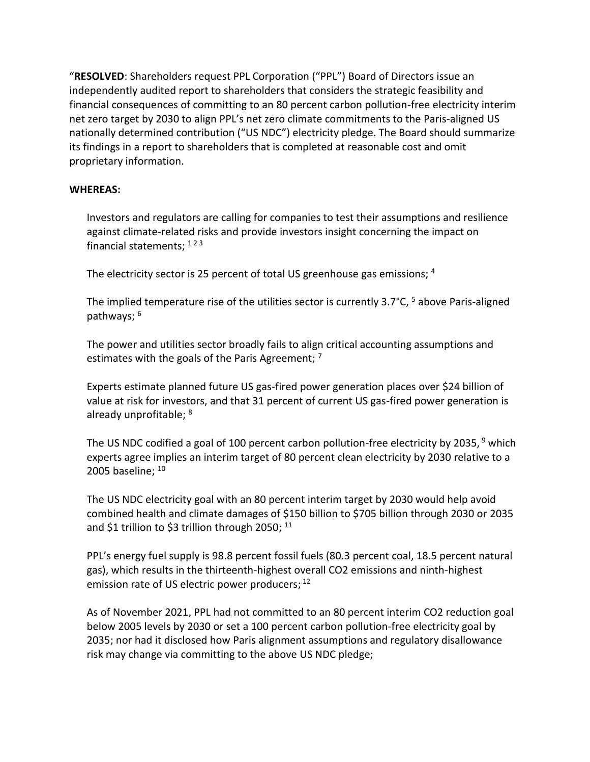"**RESOLVED**: Shareholders request PPL Corporation ("PPL") Board of Directors issue an independently audited report to shareholders that considers the strategic feasibility and financial consequences of committing to an 80 percent carbon pollution-free electricity interim net zero target by 2030 to align PPL's net zero climate commitments to the Paris-aligned US nationally determined contribution ("US NDC") electricity pledge. The Board should summarize its findings in a report to shareholders that is completed at reasonable cost and omit proprietary information.

## **WHEREAS:**

Investors and regulators are calling for companies to test their assumptions and resilience against climate-related risks and provide investors insight concerning the impact on financial statements; <sup>123</sup>

The electricity sector is 25 percent of total US greenhouse gas emissions; <sup>4</sup>

The implied temperature rise of the utilities sector is currently  $3.7^{\circ}$ C,  $^{5}$  above Paris-aligned pathways; <sup>6</sup>

The power and utilities sector broadly fails to align critical accounting assumptions and estimates with the goals of the Paris Agreement;  $^7$ 

Experts estimate planned future US gas-fired power generation places over \$24 billion of value at risk for investors, and that 31 percent of current US gas-fired power generation is already unprofitable; 8

The US NDC codified a goal of 100 percent carbon pollution-free electricity by 2035, <sup>9</sup> which experts agree implies an interim target of 80 percent clean electricity by 2030 relative to a 2005 baseline; <sup>10</sup>

The US NDC electricity goal with an 80 percent interim target by 2030 would help avoid combined health and climate damages of \$150 billion to \$705 billion through 2030 or 2035 and \$1 trillion to \$3 trillion through 2050; <sup>11</sup>

PPL's energy fuel supply is 98.8 percent fossil fuels (80.3 percent coal, 18.5 percent natural gas), which results in the thirteenth-highest overall CO2 emissions and ninth-highest emission rate of US electric power producers; 12

As of November 2021, PPL had not committed to an 80 percent interim CO2 reduction goal below 2005 levels by 2030 or set a 100 percent carbon pollution-free electricity goal by 2035; nor had it disclosed how Paris alignment assumptions and regulatory disallowance risk may change via committing to the above US NDC pledge;